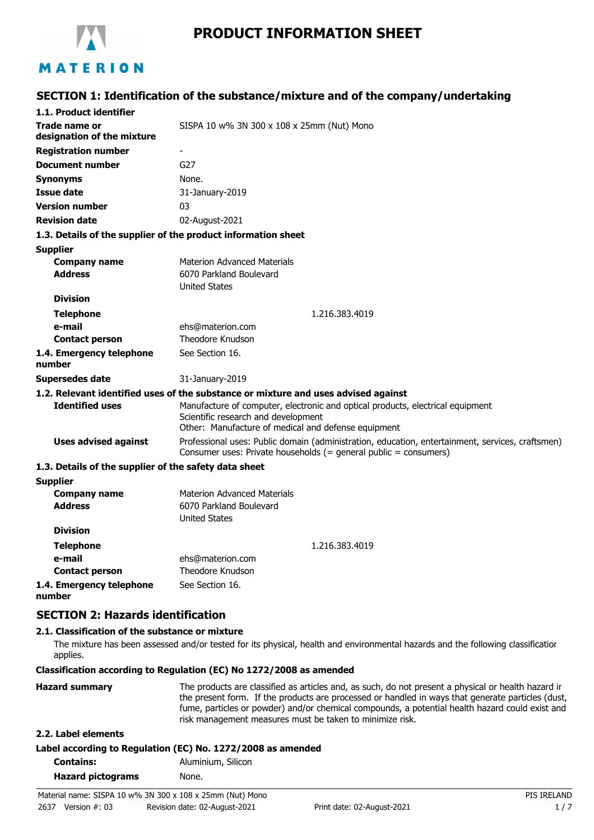

# **PRODUCT INFORMATION SHEET**

### **SECTION 1: Identification of the substance/mixture and of the company/undertaking**

| 1.1. Product identifier                               |                                                                                                                                                                              |
|-------------------------------------------------------|------------------------------------------------------------------------------------------------------------------------------------------------------------------------------|
| <b>Trade name or</b><br>designation of the mixture    | SISPA 10 w% 3N 300 x 108 x 25mm (Nut) Mono                                                                                                                                   |
| <b>Registration number</b>                            | $\overline{\phantom{a}}$                                                                                                                                                     |
| <b>Document number</b>                                | G27                                                                                                                                                                          |
| <b>Synonyms</b>                                       | None.                                                                                                                                                                        |
| Issue date                                            | 31-January-2019                                                                                                                                                              |
| <b>Version number</b>                                 | 03                                                                                                                                                                           |
| <b>Revision date</b>                                  | 02-August-2021                                                                                                                                                               |
|                                                       | 1.3. Details of the supplier of the product information sheet                                                                                                                |
| <b>Supplier</b>                                       |                                                                                                                                                                              |
| <b>Company name</b>                                   | <b>Materion Advanced Materials</b>                                                                                                                                           |
| <b>Address</b>                                        | 6070 Parkland Boulevard                                                                                                                                                      |
|                                                       | <b>United States</b>                                                                                                                                                         |
| <b>Division</b>                                       |                                                                                                                                                                              |
| <b>Telephone</b>                                      | 1.216.383.4019                                                                                                                                                               |
| e-mail                                                | ehs@materion.com                                                                                                                                                             |
| <b>Contact person</b>                                 | Theodore Knudson                                                                                                                                                             |
| 1.4. Emergency telephone<br>number                    | See Section 16.                                                                                                                                                              |
| <b>Supersedes date</b>                                | 31-January-2019                                                                                                                                                              |
|                                                       | 1.2. Relevant identified uses of the substance or mixture and uses advised against                                                                                           |
| <b>Identified uses</b>                                | Manufacture of computer, electronic and optical products, electrical equipment<br>Scientific research and development<br>Other: Manufacture of medical and defense equipment |
| <b>Uses advised against</b>                           | Professional uses: Public domain (administration, education, entertainment, services, craftsmen)<br>Consumer uses: Private households (= general public = consumers)         |
| 1.3. Details of the supplier of the safety data sheet |                                                                                                                                                                              |
| <b>Supplier</b>                                       |                                                                                                                                                                              |
| <b>Company name</b>                                   | Materion Advanced Materials                                                                                                                                                  |
| <b>Address</b>                                        | 6070 Parkland Boulevard<br><b>United States</b>                                                                                                                              |
| <b>Division</b>                                       |                                                                                                                                                                              |
| <b>Telephone</b>                                      | 1.216.383.4019                                                                                                                                                               |
| e-mail                                                | ehs@materion.com                                                                                                                                                             |
| <b>Contact person</b>                                 | Theodore Knudson                                                                                                                                                             |
| 1.4. Emergency telephone                              | See Section 16.                                                                                                                                                              |

**number**

#### **SECTION 2: Hazards identification**

#### **2.1. Classification of the substance or mixture**

The mixture has been assessed and/or tested for its physical, health and environmental hazards and the following classification applies.

#### **Classification according to Regulation (EC) No 1272/2008 as amended**

| The products are classified as articles and, as such, do not present a physical or health hazard ir<br>the present form. If the products are processed or handled in ways that generate particles (dust,<br>fume, particles or powder) and/or chemical compounds, a potential health hazard could exist and |
|-------------------------------------------------------------------------------------------------------------------------------------------------------------------------------------------------------------------------------------------------------------------------------------------------------------|
| risk management measures must be taken to minimize risk.                                                                                                                                                                                                                                                    |
|                                                                                                                                                                                                                                                                                                             |

#### **2.2. Label elements**

| Label according to Regulation (EC) No. 1272/2008 as amended |  |  |  |
|-------------------------------------------------------------|--|--|--|
|                                                             |  |  |  |

| <b>Contains:</b>         | Aluminium, Silicon |
|--------------------------|--------------------|
| <b>Hazard pictograms</b> | None.              |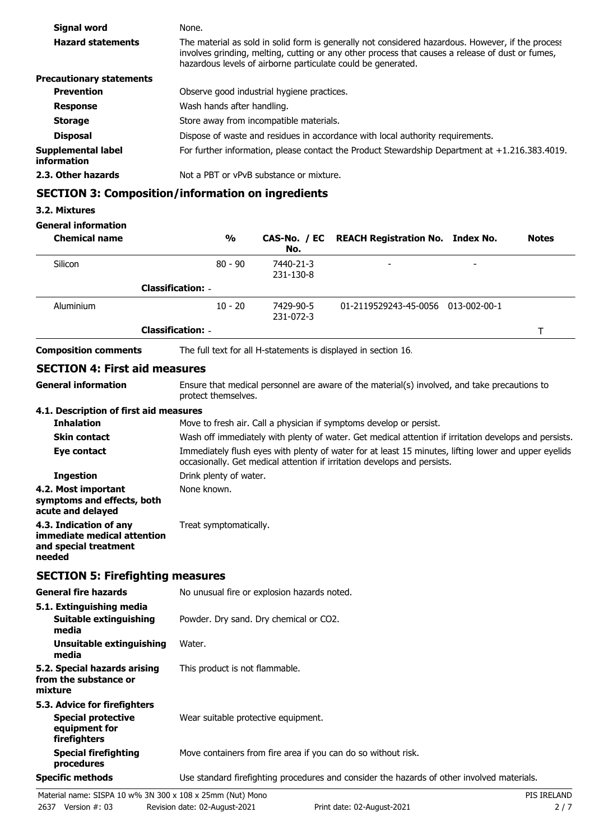| Signal word                              | None.                                                                                                                                                                                                                                                                 |
|------------------------------------------|-----------------------------------------------------------------------------------------------------------------------------------------------------------------------------------------------------------------------------------------------------------------------|
| <b>Hazard statements</b>                 | The material as sold in solid form is generally not considered hazardous. However, if the process<br>involves grinding, melting, cutting or any other process that causes a release of dust or fumes,<br>hazardous levels of airborne particulate could be generated. |
| <b>Precautionary statements</b>          |                                                                                                                                                                                                                                                                       |
| <b>Prevention</b>                        | Observe good industrial hygiene practices.                                                                                                                                                                                                                            |
| <b>Response</b>                          | Wash hands after handling.                                                                                                                                                                                                                                            |
| <b>Storage</b>                           | Store away from incompatible materials.                                                                                                                                                                                                                               |
| <b>Disposal</b>                          | Dispose of waste and residues in accordance with local authority requirements.                                                                                                                                                                                        |
| Supplemental label<br><b>information</b> | For further information, please contact the Product Stewardship Department at $+1.216.383.4019$ .                                                                                                                                                                     |
| 2.3. Other hazards                       | Not a PBT or vPvB substance or mixture.                                                                                                                                                                                                                               |
|                                          | <b>SECTION 3: Composition/information on ingredients</b>                                                                                                                                                                                                              |

#### **3.2. Mixtures**

**General information**

| <b>Chemical name</b>                 | %                        | No.                    | CAS-No. / EC REACH Registration No. Index No.                                               | <b>Notes</b> |
|--------------------------------------|--------------------------|------------------------|---------------------------------------------------------------------------------------------|--------------|
| Silicon                              | $80 - 90$                | 7440-21-3<br>231-130-8 |                                                                                             |              |
|                                      | <b>Classification: -</b> |                        |                                                                                             |              |
| Aluminium                            | $10 - 20$                | 7429-90-5<br>231-072-3 | 01-2119529243-45-0056 013-002-00-1                                                          |              |
|                                      | <b>Classification: -</b> |                        |                                                                                             |              |
| <b>Composition comments</b>          |                          |                        | The full text for all H-statements is displayed in section 16.                              |              |
| <b>SECTION 4: First aid measures</b> |                          |                        |                                                                                             |              |
| Conoral information                  |                          |                        | Encure that medical personnel are aware of the material(s) involved and take precautions to |              |

**General information**

Ensure that medical personnel are aware of the material(s) involved, and take precautions to protect themselves.

#### **4.1. Description of first aid measures**

| <b>Inhalation</b>                                                                        | Move to fresh air. Call a physician if symptoms develop or persist.                                                                                                              |
|------------------------------------------------------------------------------------------|----------------------------------------------------------------------------------------------------------------------------------------------------------------------------------|
| <b>Skin contact</b>                                                                      | Wash off immediately with plenty of water. Get medical attention if irritation develops and persists.                                                                            |
| Eye contact                                                                              | Immediately flush eyes with plenty of water for at least 15 minutes, lifting lower and upper eyelids<br>occasionally. Get medical attention if irritation develops and persists. |
| <b>Ingestion</b>                                                                         | Drink plenty of water.                                                                                                                                                           |
| 4.2. Most important<br>symptoms and effects, both<br>acute and delayed                   | None known.                                                                                                                                                                      |
| 4.3. Indication of any<br>immediate medical attention<br>and special treatment<br>needed | Treat symptomatically.                                                                                                                                                           |

### **SECTION 5: Firefighting measures**

| <b>General fire hazards</b>                                                                | No unusual fire or explosion hazards noted.                                                |
|--------------------------------------------------------------------------------------------|--------------------------------------------------------------------------------------------|
| 5.1. Extinguishing media<br>Suitable extinguishing<br>media                                | Powder. Dry sand. Dry chemical or CO2.                                                     |
| Unsuitable extinguishing<br>media                                                          | Water.                                                                                     |
| 5.2. Special hazards arising<br>from the substance or<br>mixture                           | This product is not flammable.                                                             |
| 5.3. Advice for firefighters<br><b>Special protective</b><br>equipment for<br>firefighters | Wear suitable protective equipment.                                                        |
| <b>Special firefighting</b><br>procedures                                                  | Move containers from fire area if you can do so without risk.                              |
| Specific methods                                                                           | Use standard firefighting procedures and consider the hazards of other involved materials. |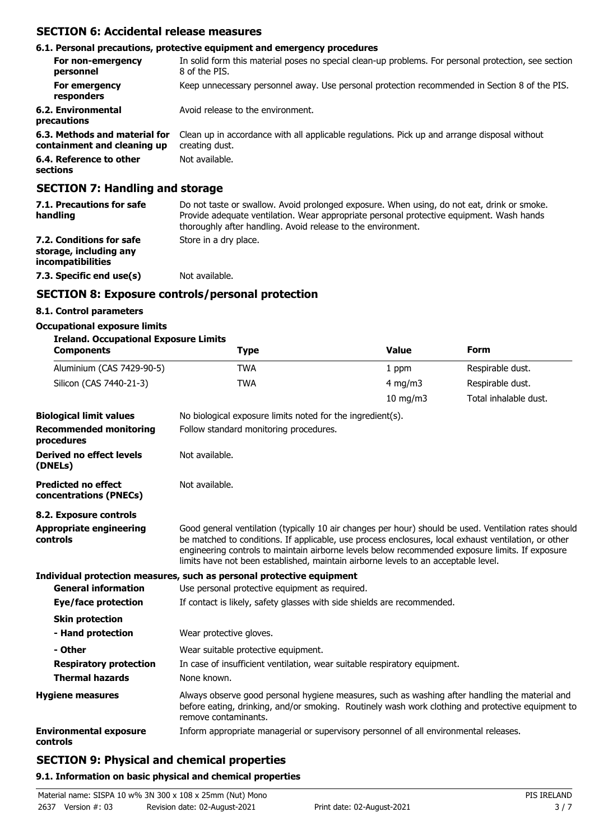### **SECTION 6: Accidental release measures**

#### **6.1. Personal precautions, protective equipment and emergency procedures** In solid form this material poses no special clean-up problems. For personal protection, see section 8 of the PIS. **For non-emergency personnel For emergency** Keep unnecessary personnel away. Use personal protection recommended in Section 8 of the PIS. **responders 6.2. Environmental** Avoid release to the environment. **precautions 6.3. Methods and material for** Clean up in accordance with all applicable regulations. Pick up and arrange disposal without creating dust. **containment and cleaning up 6.4. Reference to other** Not available. **sections SECTION 7: Handling and storage**

| 7.1. Precautions for safe<br>handling                                          | Do not taste or swallow. Avoid prolonged exposure. When using, do not eat, drink or smoke.<br>Provide adequate ventilation. Wear appropriate personal protective equipment. Wash hands<br>thoroughly after handling. Avoid release to the environment. |
|--------------------------------------------------------------------------------|--------------------------------------------------------------------------------------------------------------------------------------------------------------------------------------------------------------------------------------------------------|
| 7.2. Conditions for safe<br>storage, including any<br><i>incompatibilities</i> | Store in a dry place.                                                                                                                                                                                                                                  |
| 7.3. Specific end use(s)                                                       | Not available.                                                                                                                                                                                                                                         |

### **SECTION 8: Exposure controls/personal protection**

#### **8.1. Control parameters**

#### **Occupational exposure limits**

| <b>Ireland. Occupational Exposure Limits</b> |                                                            |                   |                       |
|----------------------------------------------|------------------------------------------------------------|-------------------|-----------------------|
| <b>Components</b>                            | <b>Type</b>                                                | <b>Value</b>      | Form                  |
| Aluminium (CAS 7429-90-5)                    | <b>TWA</b>                                                 | 1 ppm             | Respirable dust.      |
| Silicon (CAS 7440-21-3)                      | <b>TWA</b>                                                 | 4 mg/m $3$        | Respirable dust.      |
|                                              |                                                            | $10 \text{ mg/m}$ | Total inhalable dust. |
| <b>Biological limit values</b>               | No biological exposure limits noted for the ingredient(s). |                   |                       |
| <b>Recommended monitoring</b><br>procedures  | Follow standard monitoring procedures.                     |                   |                       |

| Derived no effect levels<br>(DNELs)                  | Not available.                                                                                                                                                                                                                                                                                                                                                                                         |
|------------------------------------------------------|--------------------------------------------------------------------------------------------------------------------------------------------------------------------------------------------------------------------------------------------------------------------------------------------------------------------------------------------------------------------------------------------------------|
| <b>Predicted no effect</b><br>concentrations (PNECs) | Not available.                                                                                                                                                                                                                                                                                                                                                                                         |
| 8.2. Exposure controls                               |                                                                                                                                                                                                                                                                                                                                                                                                        |
| <b>Appropriate engineering</b><br>controls           | Good general ventilation (typically 10 air changes per hour) should be used. Ventilation rates should<br>be matched to conditions. If applicable, use process enclosures, local exhaust ventilation, or other<br>engineering controls to maintain airborne levels below recommended exposure limits. If exposure<br>limits have not been established, maintain airborne levels to an acceptable level. |
|                                                      | Individual protection measures, such as personal protective equipment                                                                                                                                                                                                                                                                                                                                  |
| <b>General information</b>                           | Use personal protective equipment as required.                                                                                                                                                                                                                                                                                                                                                         |
| Eye/face protection                                  | If contact is likely, safety glasses with side shields are recommended.                                                                                                                                                                                                                                                                                                                                |
| <b>Skin protection</b>                               |                                                                                                                                                                                                                                                                                                                                                                                                        |
| - Hand protection                                    | Wear protective gloves.                                                                                                                                                                                                                                                                                                                                                                                |
| - Other                                              | Wear suitable protective equipment.                                                                                                                                                                                                                                                                                                                                                                    |
| <b>Respiratory protection</b>                        | In case of insufficient ventilation, wear suitable respiratory equipment.                                                                                                                                                                                                                                                                                                                              |
| <b>Thermal hazards</b>                               | None known.                                                                                                                                                                                                                                                                                                                                                                                            |
| <b>Hygiene measures</b>                              | Always observe good personal hygiene measures, such as washing after handling the material and<br>before eating, drinking, and/or smoking. Routinely wash work clothing and protective equipment to<br>remove contaminants.                                                                                                                                                                            |
| <b>Environmental exposure</b><br>controls            | Inform appropriate managerial or supervisory personnel of all environmental releases.                                                                                                                                                                                                                                                                                                                  |

### **SECTION 9: Physical and chemical properties**

#### **9.1. Information on basic physical and chemical properties**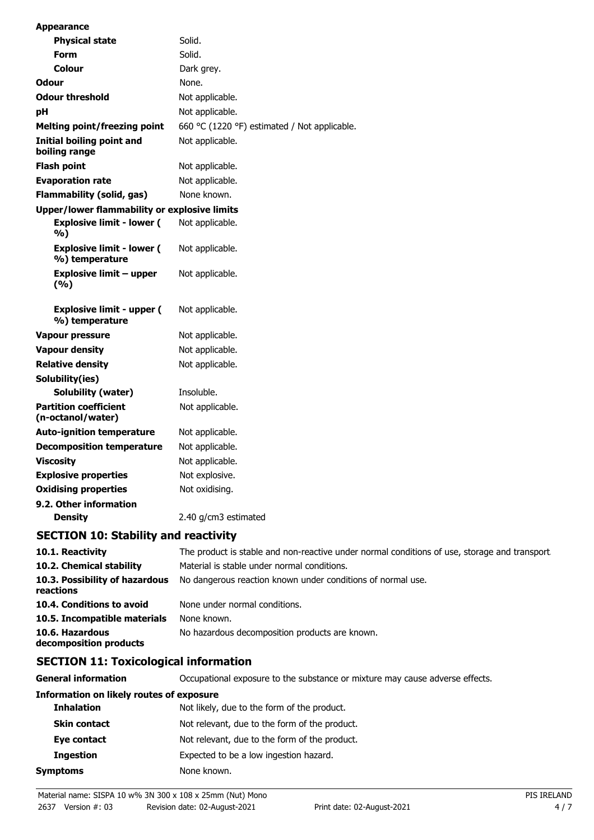| Appearance                                          |                                              |
|-----------------------------------------------------|----------------------------------------------|
| <b>Physical state</b>                               | Solid.                                       |
| Form                                                | Solid.                                       |
| Colour                                              | Dark grey.                                   |
| Odour                                               | None.                                        |
| <b>Odour threshold</b>                              | Not applicable.                              |
| рH                                                  | Not applicable.                              |
| <b>Melting point/freezing point</b>                 | 660 °C (1220 °F) estimated / Not applicable. |
| Initial boiling point and<br>boiling range          | Not applicable.                              |
| <b>Flash point</b>                                  | Not applicable.                              |
| <b>Evaporation rate</b>                             | Not applicable.                              |
| <b>Flammability (solid, gas)</b>                    | None known.                                  |
| <b>Upper/lower flammability or explosive limits</b> |                                              |
| <b>Explosive limit - lower (</b><br>%)              | Not applicable.                              |
| <b>Explosive limit - lower (</b><br>%) temperature  | Not applicable.                              |
| <b>Explosive limit - upper</b><br>(%)               | Not applicable.                              |
| <b>Explosive limit - upper (</b><br>%) temperature  | Not applicable.                              |
| <b>Vapour pressure</b>                              | Not applicable.                              |
| <b>Vapour density</b>                               | Not applicable.                              |
| <b>Relative density</b>                             | Not applicable.                              |
| Solubility(ies)                                     |                                              |
| <b>Solubility (water)</b>                           | Insoluble.                                   |
| <b>Partition coefficient</b><br>(n-octanol/water)   | Not applicable.                              |
| <b>Auto-ignition temperature</b>                    | Not applicable.                              |
| <b>Decomposition temperature</b>                    | Not applicable.                              |
| Viscosity                                           | Not applicable.                              |
| <b>Explosive properties</b>                         | Not explosive.                               |
| <b>Oxidising properties</b>                         | Not oxidising.                               |
| 9.2. Other information                              |                                              |
| <b>Density</b>                                      | 2.40 g/cm3 estimated                         |

## **SECTION 10: Stability and reactivity**

| 10.1. Reactivity                            | The product is stable and non-reactive under normal conditions of use, storage and transport |
|---------------------------------------------|----------------------------------------------------------------------------------------------|
| 10.2. Chemical stability                    | Material is stable under normal conditions.                                                  |
| 10.3. Possibility of hazardous<br>reactions | No dangerous reaction known under conditions of normal use.                                  |
| 10.4. Conditions to avoid                   | None under normal conditions.                                                                |
| 10.5. Incompatible materials                | None known.                                                                                  |
| 10.6. Hazardous<br>decomposition products   | No hazardous decomposition products are known.                                               |

## **SECTION 11: Toxicological information**

**General information CCCUPATION** Occupational exposure to the substance or mixture may cause adverse effects.

#### **Information on likely routes of exposure**

| <b>Inhalation</b>   | Not likely, due to the form of the product.   |
|---------------------|-----------------------------------------------|
| <b>Skin contact</b> | Not relevant, due to the form of the product. |
| Eye contact         | Not relevant, due to the form of the product. |
| <b>Ingestion</b>    | Expected to be a low ingestion hazard.        |
| Symptoms            | None known.                                   |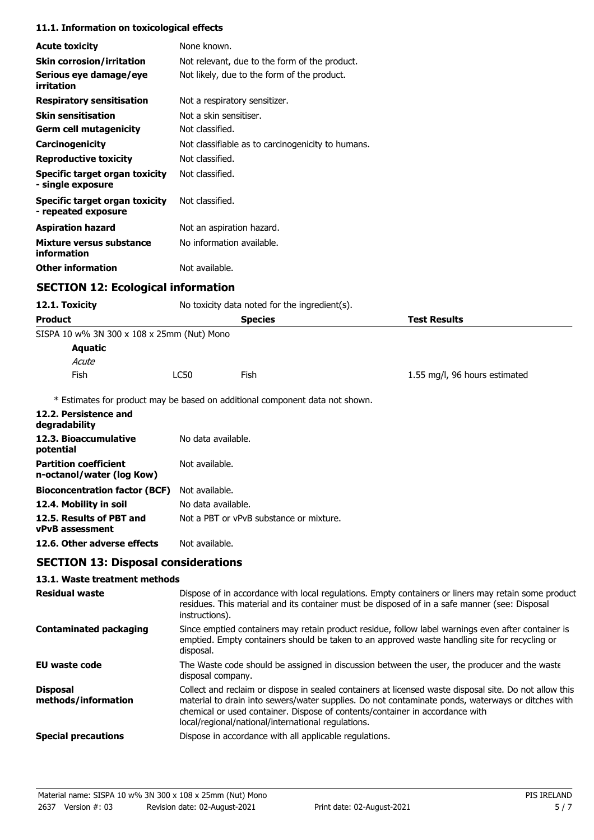#### **11.1. Information on toxicological effects**

| <b>Acute toxicity</b>                                        | None known.                                                                  |                               |
|--------------------------------------------------------------|------------------------------------------------------------------------------|-------------------------------|
| <b>Skin corrosion/irritation</b>                             | Not relevant, due to the form of the product.                                |                               |
| Serious eye damage/eye<br>irritation                         | Not likely, due to the form of the product.                                  |                               |
| <b>Respiratory sensitisation</b>                             | Not a respiratory sensitizer.                                                |                               |
| <b>Skin sensitisation</b>                                    | Not a skin sensitiser.                                                       |                               |
| <b>Germ cell mutagenicity</b>                                | Not classified.                                                              |                               |
| Carcinogenicity                                              | Not classifiable as to carcinogenicity to humans.                            |                               |
| <b>Reproductive toxicity</b>                                 | Not classified.                                                              |                               |
| <b>Specific target organ toxicity</b><br>- single exposure   | Not classified.                                                              |                               |
| <b>Specific target organ toxicity</b><br>- repeated exposure | Not classified.                                                              |                               |
| <b>Aspiration hazard</b>                                     | Not an aspiration hazard.                                                    |                               |
| Mixture versus substance<br>information                      | No information available.                                                    |                               |
| <b>Other information</b>                                     | Not available.                                                               |                               |
|                                                              |                                                                              |                               |
| <b>SECTION 12: Ecological information</b>                    |                                                                              |                               |
| 12.1. Toxicity                                               | No toxicity data noted for the ingredient(s).                                |                               |
| <b>Product</b>                                               | <b>Species</b>                                                               | <b>Test Results</b>           |
| SISPA 10 w% 3N 300 x 108 x 25mm (Nut) Mono                   |                                                                              |                               |
| <b>Aquatic</b>                                               |                                                                              |                               |
| Acute                                                        |                                                                              |                               |
| Fish                                                         | <b>LC50</b><br>Fish                                                          | 1.55 mg/l, 96 hours estimated |
|                                                              | * Estimates for product may be based on additional component data not shown. |                               |
| 12.2. Persistence and<br>degradability                       |                                                                              |                               |
| 12.3. Bioaccumulative<br>potential                           | No data available.                                                           |                               |
| <b>Partition coefficient</b><br>n-octanol/water (log Kow)    | Not available.                                                               |                               |
| <b>Bioconcentration factor (BCF)</b>                         | Not available.                                                               |                               |

**12.5. Results of PBT and** Not a PBT or vPvB substance or mixture. **vPvB assessment**

**12.6. Other adverse effects** Not available.

### **SECTION 13: Disposal considerations**

#### **13.1. Waste treatment methods**

| <b>Residual waste</b>                  | Dispose of in accordance with local regulations. Empty containers or liners may retain some product<br>residues. This material and its container must be disposed of in a safe manner (see: Disposal<br>instructions).                                                                                                                            |
|----------------------------------------|---------------------------------------------------------------------------------------------------------------------------------------------------------------------------------------------------------------------------------------------------------------------------------------------------------------------------------------------------|
| <b>Contaminated packaging</b>          | Since emptied containers may retain product residue, follow label warnings even after container is<br>emptied. Empty containers should be taken to an approved waste handling site for recycling or<br>disposal.                                                                                                                                  |
| EU waste code                          | The Waste code should be assigned in discussion between the user, the producer and the waste<br>disposal company.                                                                                                                                                                                                                                 |
| <b>Disposal</b><br>methods/information | Collect and reclaim or dispose in sealed containers at licensed waste disposal site. Do not allow this<br>material to drain into sewers/water supplies. Do not contaminate ponds, waterways or ditches with<br>chemical or used container. Dispose of contents/container in accordance with<br>local/regional/national/international regulations. |
| <b>Special precautions</b>             | Dispose in accordance with all applicable regulations.                                                                                                                                                                                                                                                                                            |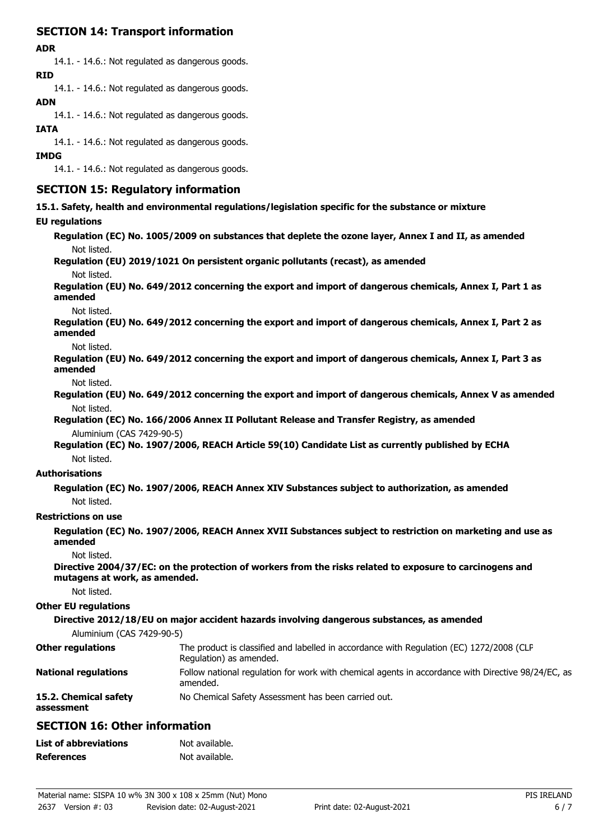### **SECTION 14: Transport information**

#### **ADR**

14.1. - 14.6.: Not regulated as dangerous goods. **RID**

14.1. - 14.6.: Not regulated as dangerous goods.

### **ADN**

14.1. - 14.6.: Not regulated as dangerous goods.

#### **IATA**

14.1. - 14.6.: Not regulated as dangerous goods.

#### **IMDG**

14.1. - 14.6.: Not regulated as dangerous goods.

### **SECTION 15: Regulatory information**

**15.1. Safety, health and environmental regulations/legislation specific for the substance or mixture**

#### **EU regulations**

**Regulation (EC) No. 1005/2009 on substances that deplete the ozone layer, Annex I and II, as amended** Not listed.

**Regulation (EU) 2019/1021 On persistent organic pollutants (recast), as amended**

Not listed.

**Regulation (EU) No. 649/2012 concerning the export and import of dangerous chemicals, Annex I, Part 1 as amended**

Not listed.

**Regulation (EU) No. 649/2012 concerning the export and import of dangerous chemicals, Annex I, Part 2 as amended**

Not listed.

**Regulation (EU) No. 649/2012 concerning the export and import of dangerous chemicals, Annex I, Part 3 as amended**

Not listed.

**Regulation (EU) No. 649/2012 concerning the export and import of dangerous chemicals, Annex V as amended** Not listed.

**Regulation (EC) No. 166/2006 Annex II Pollutant Release and Transfer Registry, as amended** Aluminium (CAS 7429-90-5)

**Regulation (EC) No. 1907/2006, REACH Article 59(10) Candidate List as currently published by ECHA** Not listed.

#### **Authorisations**

**Regulation (EC) No. 1907/2006, REACH Annex XIV Substances subject to authorization, as amended** Not listed.

#### **Restrictions on use**

**Regulation (EC) No. 1907/2006, REACH Annex XVII Substances subject to restriction on marketing and use as amended**

Not listed.

**Directive 2004/37/EC: on the protection of workers from the risks related to exposure to carcinogens and mutagens at work, as amended.**

Not listed.

#### **Other EU regulations**

**Directive 2012/18/EU on major accident hazards involving dangerous substances, as amended**

Aluminium (CAS 7429-90-5)

| <b>Other regulations</b>            | The product is classified and labelled in accordance with Regulation (EC) 1272/2008 (CLP<br>Regulation) as amended. |
|-------------------------------------|---------------------------------------------------------------------------------------------------------------------|
| <b>National regulations</b>         | Follow national regulation for work with chemical agents in accordance with Directive 98/24/EC, as<br>amended.      |
| 15.2. Chemical safety<br>assessment | No Chemical Safety Assessment has been carried out.                                                                 |

### **SECTION 16: Other information**

| <b>List of abbreviations</b> | Not available. |
|------------------------------|----------------|
| <b>References</b>            | Not available. |